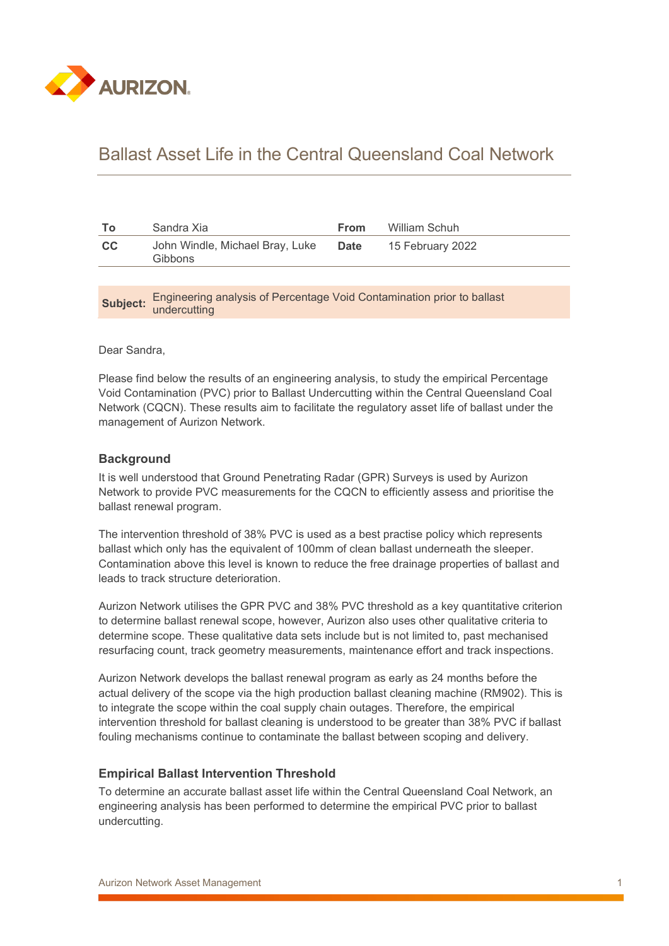

# Ballast Asset Life in the Central Queensland Coal Network

| To       | Sandra Xia                                                                             | From        | William Schuh    |  |  |  |
|----------|----------------------------------------------------------------------------------------|-------------|------------------|--|--|--|
| cc       | John Windle, Michael Bray, Luke<br>Gibbons                                             | <b>Date</b> | 15 February 2022 |  |  |  |
|          |                                                                                        |             |                  |  |  |  |
| Subject: | Engineering analysis of Percentage Void Contamination prior to ballast<br>undercutting |             |                  |  |  |  |
|          |                                                                                        |             |                  |  |  |  |

Dear Sandra,

Please find below the results of an engineering analysis, to study the empirical Percentage Void Contamination (PVC) prior to Ballast Undercutting within the Central Queensland Coal Network (CQCN). These results aim to facilitate the regulatory asset life of ballast under the management of Aurizon Network.

## **Background**

It is well understood that Ground Penetrating Radar (GPR) Surveys is used by Aurizon Network to provide PVC measurements for the CQCN to efficiently assess and prioritise the ballast renewal program.

The intervention threshold of 38% PVC is used as a best practise policy which represents ballast which only has the equivalent of 100mm of clean ballast underneath the sleeper. Contamination above this level is known to reduce the free drainage properties of ballast and leads to track structure deterioration.

Aurizon Network utilises the GPR PVC and 38% PVC threshold as a key quantitative criterion to determine ballast renewal scope, however, Aurizon also uses other qualitative criteria to determine scope. These qualitative data sets include but is not limited to, past mechanised resurfacing count, track geometry measurements, maintenance effort and track inspections.

Aurizon Network develops the ballast renewal program as early as 24 months before the actual delivery of the scope via the high production ballast cleaning machine (RM902). This is to integrate the scope within the coal supply chain outages. Therefore, the empirical intervention threshold for ballast cleaning is understood to be greater than 38% PVC if ballast fouling mechanisms continue to contaminate the ballast between scoping and delivery.

#### **Empirical Ballast Intervention Threshold**

To determine an accurate ballast asset life within the Central Queensland Coal Network, an engineering analysis has been performed to determine the empirical PVC prior to ballast undercutting.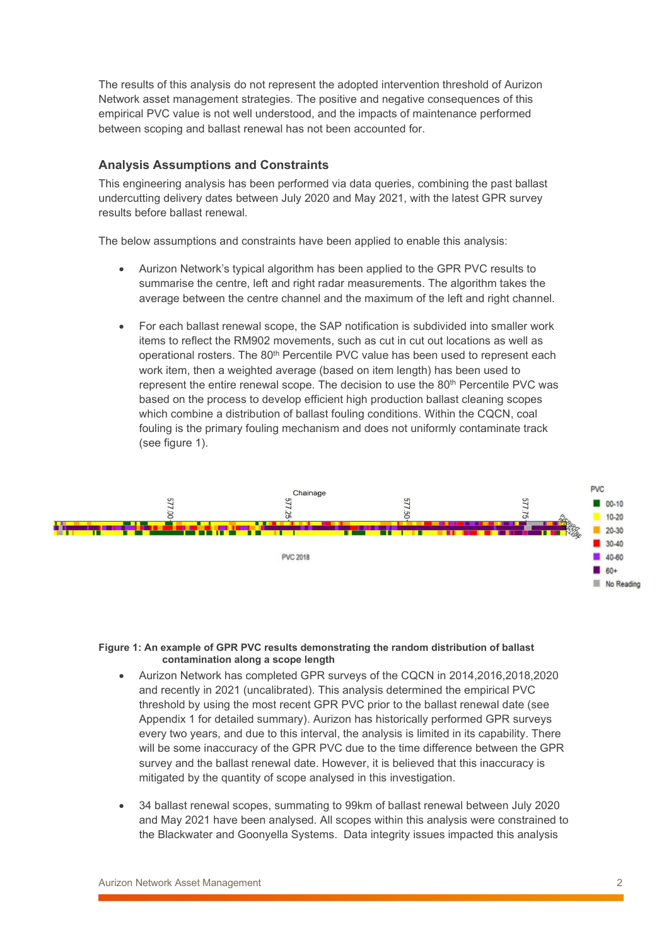The results of this analysis do not represent the adopted intervention threshold of Aurizon Network asset management strategies. The positive and negative consequences of this empirical PVC value is not well understood, and the impacts of maintenance performed between scoping and ballast renewal has not been accounted for.

## **Analysis Assumptions and Constraints**

This engineering analysis has been performed via data queries, combining the past ballast undercutting delivery dates between July 2020 and May 2021, with the latest GPR survey results before ballast renewal.

The below assumptions and constraints have been applied to enable this analysis:

- Aurizon Network's typical algorithm has been applied to the GPR PVC results to summarise the centre, left and right radar measurements. The algorithm takes the average between the centre channel and the maximum of the left and right channel.
- For each ballast renewal scope, the SAP notification is subdivided into smaller work items to reflect the RM902 movements, such as cut in cut out locations as well as operational rosters. The 80th Percentile PVC value has been used to represent each work item, then a weighted average (based on item length) has been used to represent the entire renewal scope. The decision to use the 80<sup>th</sup> Percentile PVC was based on the process to develop efficient high production ballast cleaning scopes which combine a distribution of ballast fouling conditions. Within the CQCN, coal fouling is the primary fouling mechanism and does not uniformly contaminate track (see figure 1).



#### **Figure 1: An example of GPR PVC results demonstrating the random distribution of ballast contamination along a scope length**

- Aurizon Network has completed GPR surveys of the CQCN in 2014,2016,2018,2020 and recently in 2021 (uncalibrated). This analysis determined the empirical PVC threshold by using the most recent GPR PVC prior to the ballast renewal date (see Appendix 1 for detailed summary). Aurizon has historically performed GPR surveys every two years, and due to this interval, the analysis is limited in its capability. There will be some inaccuracy of the GPR PVC due to the time difference between the GPR survey and the ballast renewal date. However, it is believed that this inaccuracy is mitigated by the quantity of scope analysed in this investigation.
- 34 ballast renewal scopes, summating to 99km of ballast renewal between July 2020 and May 2021 have been analysed. All scopes within this analysis were constrained to the Blackwater and Goonyella Systems. Data integrity issues impacted this analysis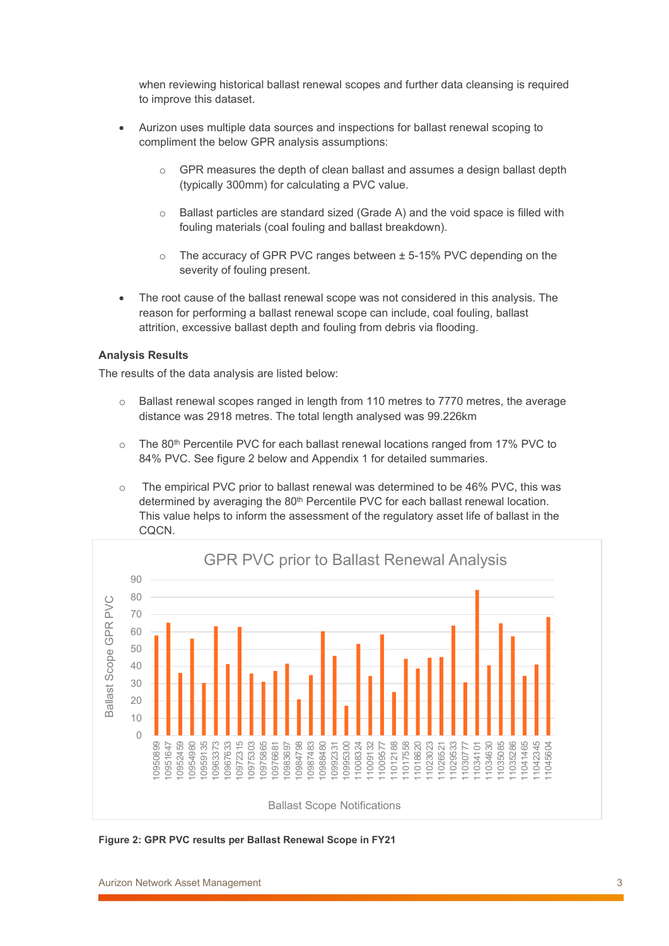when reviewing historical ballast renewal scopes and further data cleansing is required to improve this dataset.

- Aurizon uses multiple data sources and inspections for ballast renewal scoping to compliment the below GPR analysis assumptions:
	- GPR measures the depth of clean ballast and assumes a design ballast depth (typically 300mm) for calculating a PVC value.
	- o Ballast particles are standard sized (Grade A) and the void space is filled with fouling materials (coal fouling and ballast breakdown).
	- $\circ$  The accuracy of GPR PVC ranges between  $\pm$  5-15% PVC depending on the severity of fouling present.
- The root cause of the ballast renewal scope was not considered in this analysis. The reason for performing a ballast renewal scope can include, coal fouling, ballast attrition, excessive ballast depth and fouling from debris via flooding.

#### **Analysis Results**

The results of the data analysis are listed below:

- $\circ$  Ballast renewal scopes ranged in length from 110 metres to 7770 metres, the average distance was 2918 metres. The total length analysed was 99.226km
- The  $80<sup>th</sup>$  Percentile PVC for each ballast renewal locations ranged from 17% PVC to 84% PVC. See figure 2 below and Appendix 1 for detailed summaries.
- $\circ$  The empirical PVC prior to ballast renewal was determined to be 46% PVC, this was determined by averaging the 80<sup>th</sup> Percentile PVC for each ballast renewal location. This value helps to inform the assessment of the regulatory asset life of ballast in the CQCN.



**Figure 2: GPR PVC results per Ballast Renewal Scope in FY21**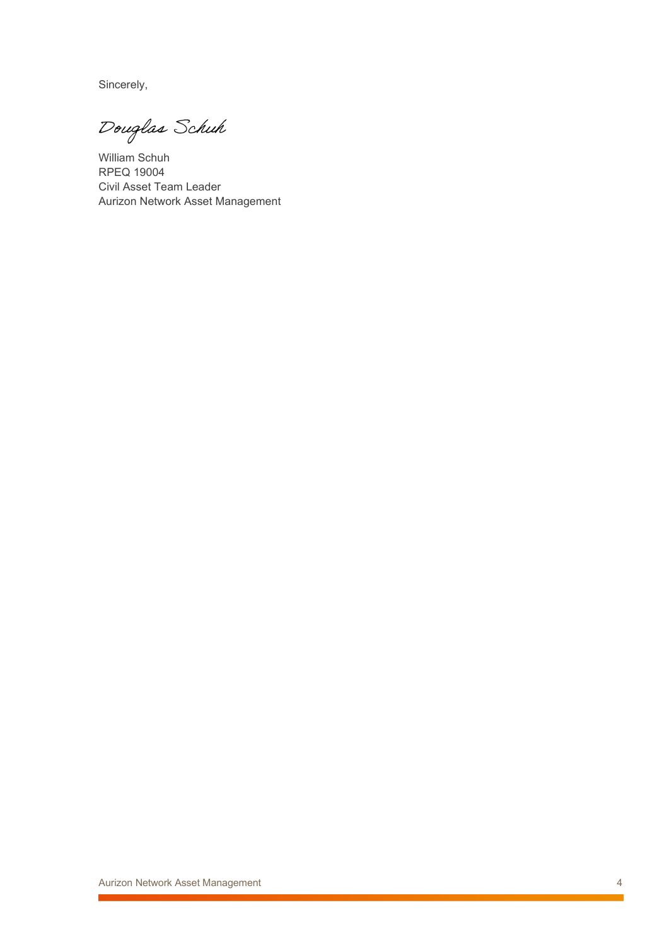Sincerely,

Douglas Schuh

William Schuh RPEQ 19004 Civil Asset Team Leader Aurizon Network Asset Management